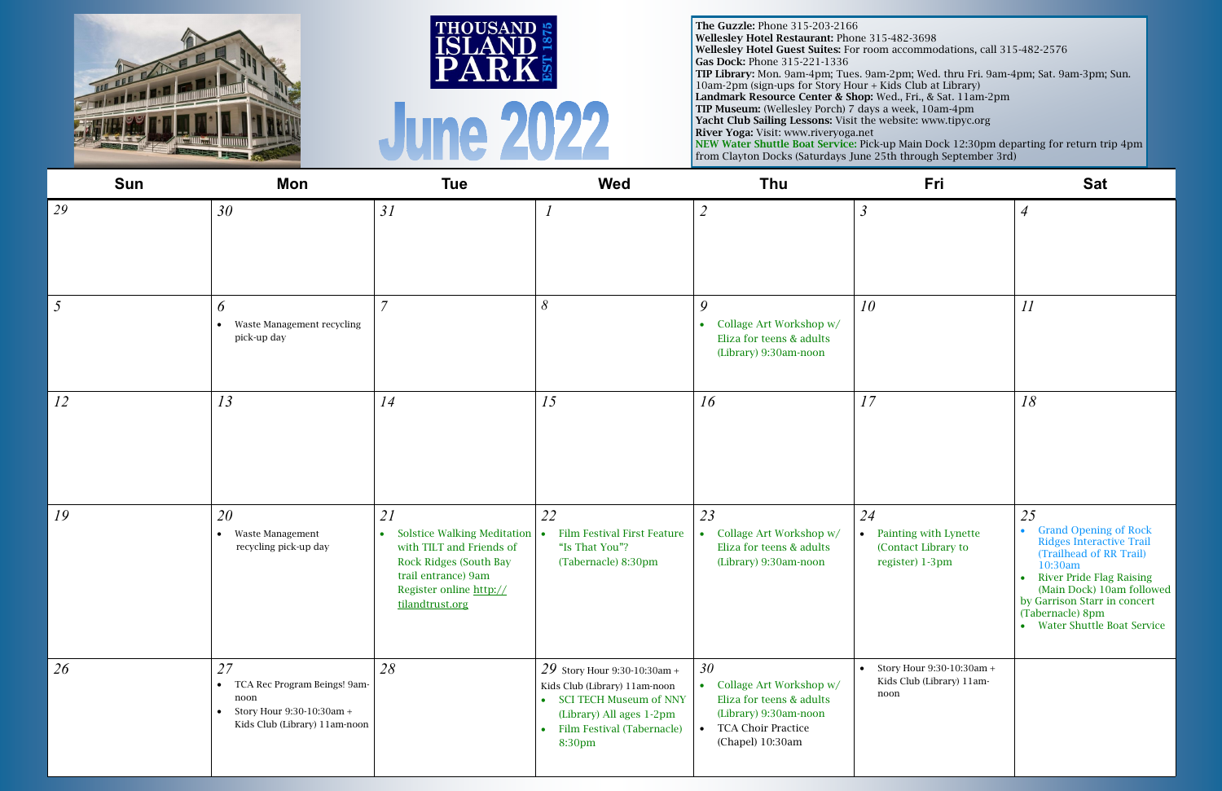| Sun | Mon                                                                                                                                | <b>Tue</b>                                                                                                                                                         | <b>Wed</b>                                                                                                                                                      | Thu                                                                                                                                                           | Fri                                                                     | <b>Sat</b>                                                                                                                                                                                                                                                              |
|-----|------------------------------------------------------------------------------------------------------------------------------------|--------------------------------------------------------------------------------------------------------------------------------------------------------------------|-----------------------------------------------------------------------------------------------------------------------------------------------------------------|---------------------------------------------------------------------------------------------------------------------------------------------------------------|-------------------------------------------------------------------------|-------------------------------------------------------------------------------------------------------------------------------------------------------------------------------------------------------------------------------------------------------------------------|
| 29  | 30                                                                                                                                 | 31                                                                                                                                                                 |                                                                                                                                                                 | $\overline{2}$                                                                                                                                                | $\overline{3}$                                                          | $\overline{A}$                                                                                                                                                                                                                                                          |
| 5   | 6<br>Waste Management recycling<br>$\bullet$<br>pick-up day                                                                        | $\overline{7}$                                                                                                                                                     | 8                                                                                                                                                               | 9<br>Collage Art Workshop w/<br>$\bullet$<br>Eliza for teens & adults<br>(Library) 9:30am-noon                                                                | 10 <sup>°</sup>                                                         | II                                                                                                                                                                                                                                                                      |
| 12  | 13                                                                                                                                 | 14                                                                                                                                                                 | 15                                                                                                                                                              | 16                                                                                                                                                            | 17                                                                      | 18                                                                                                                                                                                                                                                                      |
| 19  | 20<br>Waste Management<br>$\bullet$<br>recycling pick-up day                                                                       | 21<br>• Solstice Walking Meditation   •<br>with TILT and Friends of<br>Rock Ridges (South Bay<br>trail entrance) 9am<br>Register online http://<br>tilandtrust.org | 22<br><b>Film Festival First Feature</b><br>"Is That You"?<br>(Tabernacle) 8:30pm                                                                               | 23<br>Collage Art Workshop w/<br>$\bullet$<br>Eliza for teens & adults<br>(Library) 9:30am-noon                                                               | 24<br>• Painting with Lynette<br>(Contact Library to<br>register) 1-3pm | 25<br>• Grand Opening of Rock<br><b>Ridges Interactive Trail</b><br>(Trailhead of RR Trail)<br>10:30am<br><b>River Pride Flag Raising</b><br>$\bullet$<br>(Main Dock) 10am followed<br>by Garrison Starr in concert<br>(Tabernacle) 8pm<br>• Water Shuttle Boat Service |
| 26  | 27<br>TCA Rec Program Beings! 9am-<br>$\bullet$<br>noon<br>Story Hour 9:30-10:30am +<br>$\bullet$<br>Kids Club (Library) 11am-noon | 28                                                                                                                                                                 | 29 Story Hour 9:30-10:30am +<br>Kids Club (Library) 11am-noon<br>• SCI TECH Museum of NNY<br>(Library) All ages 1-2pm<br>• Film Festival (Tabernacle)<br>8:30pm | 30 <sup>°</sup><br>Collage Art Workshop w/<br>Eliza for teens & adults<br>(Library) 9:30am-noon<br><b>TCA Choir Practice</b><br>$\bullet$<br>(Chapel) 10:30am | • Story Hour $9:30-10:30$ am +<br>Kids Club (Library) 11am-<br>noon     |                                                                                                                                                                                                                                                                         |







The Guzzle: Phone 315-203-2166 Wellesley Hotel Restaurant: Phone 315-482-3698 Wellesley Hotel Guest Suites: For room accommodations, call 315-482-2576 Gas Dock: Phone 315-221-1336 TIP Library: Mon. 9am-4pm; Tues. 9am-2pm; Wed. thru Fri. 9am-4pm; Sat. 9am-3pm; Sun. 10am-2pm (sign-ups for Story Hour + Kids Club at Library) Landmark Resource Center & Shop: Wed., Fri., & Sat. 11am-2pm TIP Museum: (Wellesley Porch) 7 days a week, 10am-4pm Yacht Club Sailing Lessons: Visit the website: www.tipyc.org River Yoga: Visit: [www.riveryoga.net](https://www.riveryoga.net/) NEW Water Shuttle Boat Service: Pick-up Main Dock 12:30pm departing for return trip 4pm from Clayton Docks (Saturdays June 25th through September 3rd)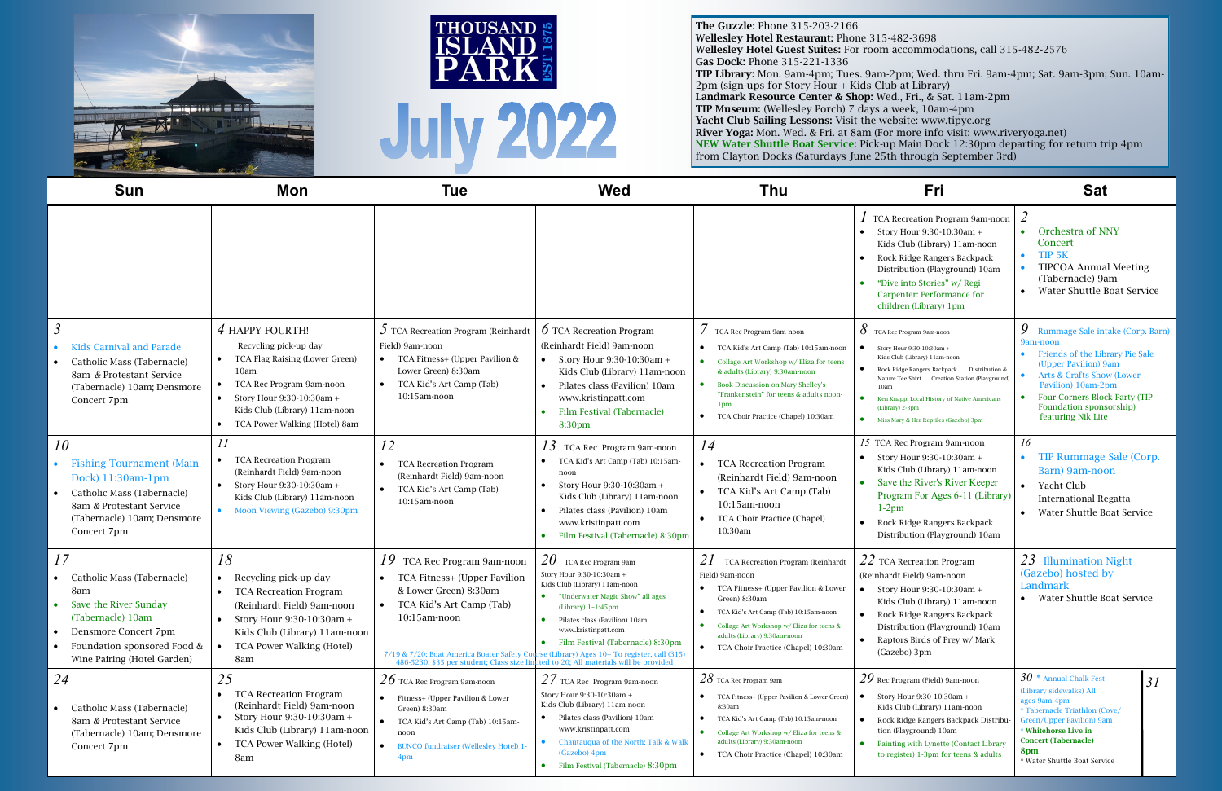| <b>Sun</b>                                                                                                                                                                  | Mon                                                                                                                                                                                                                       | <b>Tue</b>                                                                                                                                                                                                                                                                                                                | <b>Wed</b>                                                                                                                                                                                                                                             | Thu                                                                                                                                                                                                                                                                                                                                    | <b>Fri</b>                                                                                                                                                                                                                                                                                                                    | <b>Sat</b>                                                                                                                                                                                                                                              |    |
|-----------------------------------------------------------------------------------------------------------------------------------------------------------------------------|---------------------------------------------------------------------------------------------------------------------------------------------------------------------------------------------------------------------------|---------------------------------------------------------------------------------------------------------------------------------------------------------------------------------------------------------------------------------------------------------------------------------------------------------------------------|--------------------------------------------------------------------------------------------------------------------------------------------------------------------------------------------------------------------------------------------------------|----------------------------------------------------------------------------------------------------------------------------------------------------------------------------------------------------------------------------------------------------------------------------------------------------------------------------------------|-------------------------------------------------------------------------------------------------------------------------------------------------------------------------------------------------------------------------------------------------------------------------------------------------------------------------------|---------------------------------------------------------------------------------------------------------------------------------------------------------------------------------------------------------------------------------------------------------|----|
|                                                                                                                                                                             |                                                                                                                                                                                                                           |                                                                                                                                                                                                                                                                                                                           |                                                                                                                                                                                                                                                        |                                                                                                                                                                                                                                                                                                                                        | TCA Recreation Program 9am-noon<br>Story Hour 9:30-10:30am +<br>Kids Club (Library) 11am-noon<br>Rock Ridge Rangers Backpack<br>Distribution (Playground) 10am<br>"Dive into Stories" w/ Regi<br>Carpenter: Performance for<br>children (Library) 1pm                                                                         | • Orchestra of NNY<br>Concert<br>TIP <sub>5K</sub><br><b>TIPCOA Annual Meeting</b><br>(Tabernacle) 9am<br>• Water Shuttle Boat Service                                                                                                                  |    |
| $\mathfrak{Z}$<br><b>Kids Carnival and Parade</b><br>Catholic Mass (Tabernacle)<br>8am & Protestant Service<br>(Tabernacle) 10am; Densmore<br>Concert 7pm                   | 4 HAPPY FOURTH!<br>Recycling pick-up day<br>TCA Flag Raising (Lower Green)<br>10 <sub>am</sub><br>TCA Rec Program 9am-noon<br>Story Hour 9:30-10:30am +<br>Kids Club (Library) 11am-noon<br>TCA Power Walking (Hotel) 8am | $\mathcal{I}$ TCA Recreation Program (Reinhardt<br>Field) 9am-noon<br>• TCA Fitness+ (Upper Pavilion &<br>Lower Green) 8:30am<br>TCA Kid's Art Camp (Tab)<br>$10:15$ am-noon                                                                                                                                              | <b>6</b> TCA Recreation Program<br>(Reinhardt Field) 9am-noon<br>• Story Hour $9:30-10:30$ am +<br>Kids Club (Library) 11am-noon<br>Pilates class (Pavilion) 10am<br>www.kristinpatt.com<br>Film Festival (Tabernacle)<br>8:30pm                       | TCA Rec Program 9am-noon<br>TCA Kid's Art Camp (Tab) 10:15am-noon<br>$\bullet$<br>Collage Art Workshop w/ Eliza for teens<br>$\bullet$<br>& adults (Library) 9:30am-noon<br><b>Book Discussion on Mary Shelley's</b><br>"Frankenstein" for teens & adults noon-<br>1 <sub>pm</sub><br>$\bullet$<br>TCA Choir Practice (Chapel) 10:30am | $8$ TCA Rec Program 9am-noon<br>Story Hour 9:30-10:30am +<br>Kids Club (Library) 11am-noon<br>Rock Ridge Rangers Backpack Distribution &<br>Nature Tee Shirt Creation Station (Playground)<br>10am<br>$\bullet$<br>Ken Knapp: Local History of Native Americans<br>(Library) 2-3pm<br>• Miss Mary & Her Reptiles (Gazebo) 3pm | 9 Rummage Sale intake (Corp. Barn)<br>9am-noon<br>• Friends of the Library Pie Sale<br>(Upper Pavilion) 9am<br>Arts & Crafts Show (Lower<br>Pavilion) 10am-2pm<br><b>Four Corners Block Party (TIP</b><br>Foundation sponsorship)<br>featuring Nik Lite |    |
| 10<br><b>Fishing Tournament (Main</b><br>Dock) 11:30am-1pm<br>Catholic Mass (Tabernacle)<br>8am & Protestant Service<br>(Tabernacle) 10am; Densmore<br>Concert 7pm          | 11<br><b>TCA Recreation Program</b><br>(Reinhardt Field) 9am-noon<br>Story Hour 9:30-10:30am +<br>Kids Club (Library) 11am-noon<br>• Moon Viewing (Gazebo) 9:30pm                                                         | 12<br><b>TCA Recreation Program</b><br>(Reinhardt Field) 9am-noon<br>• TCA Kid's Art Camp (Tab)<br>$10:15$ am-noon                                                                                                                                                                                                        | 13<br>TCA Rec Program 9am-noon<br>TCA Kid's Art Camp (Tab) 10:15am<br>noon<br>Story Hour 9:30-10:30am +<br>Kids Club (Library) 11am-noon<br>Pilates class (Pavilion) 10am<br>www.kristinpatt.com<br>• Film Festival (Tabernacle) 8:30pm                | 14<br><b>TCA Recreation Program</b><br>$\bullet$<br>(Reinhardt Field) 9am-noon<br>TCA Kid's Art Camp (Tab)<br>10:15am-noon<br>TCA Choir Practice (Chapel)<br>10:30am                                                                                                                                                                   | 15 TCA Rec Program 9am-noon<br>• Story Hour $9:30-10:30$ am +<br>Kids Club (Library) 11am-noon<br>• Save the River's River Keeper<br>Program For Ages 6-11 (Library)<br>$1-2pm$<br>Rock Ridge Rangers Backpack<br>Distribution (Playground) 10am                                                                              | 16<br>• TIP Rummage Sale (Corp.<br>Barn) 9am-noon<br>• Yacht Club<br><b>International Regatta</b><br><b>Water Shuttle Boat Service</b>                                                                                                                  |    |
| 17<br>Catholic Mass (Tabernacle)<br>8am<br>Save the River Sunday<br>(Tabernacle) 10am<br>Densmore Concert 7pm<br>Foundation sponsored Food &<br>Wine Pairing (Hotel Garden) | 18<br>Recycling pick-up day<br><b>TCA Recreation Program</b><br>(Reinhardt Field) 9am-noon<br>• Story Hour $9:30-10:30$ am +<br>Kids Club (Library) 11am-noon<br>TCA Power Walking (Hotel)<br>8am                         | $19$ TCA Rec Program 9am-noon<br>• TCA Fitness+ (Upper Pavilion<br>& Lower Green) 8:30am<br>TCA Kid's Art Camp (Tab)<br>10:15am-noon<br>7/19 & 7/20: Boat America Boater Safety Course (Library) Ages 10+ To register, call (315)<br>486-5230; \$35 per student; Class size limited to 20; All materials will be provided | $20$ TCA Rec Program 9am<br>Story Hour 9:30-10:30am +<br>Kids Club (Library) 11am-noon<br>• "Underwater Magic Show" all ages<br>$(Library)$ 1-1:45pm<br>• Pilates class (Pavilion) 10am<br>www.kristinpatt.com<br>Film Festival (Tabernacle) 8:30pm    | TCA Recreation Program (Reinhardt<br>Field) 9am-noon<br>TCA Fitness+ (Upper Pavilion & Lower<br>Green) 8:30am<br>TCA Kid's Art Camp (Tab) 10:15am-noon<br>Collage Art Workshop w/ Eliza for teens &<br>adults (Library) 9:30am-noon<br>TCA Choir Practice (Chapel) 10:30am                                                             | $22$ TCA Recreation Program<br>(Reinhardt Field) 9am-noon<br>Story Hour 9:30-10:30am +<br>Kids Club (Library) 11am-noon<br>Rock Ridge Rangers Backpack<br>Distribution (Playground) 10am<br>Raptors Birds of Prey w/ Mark<br>(Gazebo) 3pm                                                                                     | $23$ Illumination Night<br>(Gazebo) hosted by<br>Landmark<br>• Water Shuttle Boat Service                                                                                                                                                               |    |
| 24<br>Catholic Mass (Tabernacle)<br>8am & Protestant Service<br>(Tabernacle) 10am; Densmore<br>Concert 7pm                                                                  | 25<br><b>TCA Recreation Program</b><br>$\bullet$<br>(Reinhardt Field) 9am-noon<br>Story Hour 9:30-10:30am +<br>Kids Club (Library) 11am-noon<br>TCA Power Walking (Hotel)<br>$\bullet$<br>8am                             | $26$ TCA Rec Program 9am-noon<br>• Fitness+ (Upper Pavilion & Lower<br>Green) 8:30am<br>• TCA Kid's Art Camp (Tab) 10:15am-<br>noon<br><b>BUNCO fundraiser (Wellesley Hotel) 1</b><br>$\bullet$<br>4pm                                                                                                                    | $27$ TCA Rec Program 9am-noon<br>Story Hour 9:30-10:30am +<br>Kids Club (Library) 11am-noon<br>• Pilates class (Pavilion) 10am<br>www.kristinpatt.com<br>• Chautauqua of the North: Talk & Walk<br>(Gazebo) 4pm<br>• Film Festival (Tabernacle) 8:30pm | $28$ TCA Rec Program 9am<br>TCA Fitness+ (Upper Pavilion & Lower Green)<br>8:30am<br>TCA Kid's Art Camp (Tab) 10:15am-noon<br>$\bullet$<br>Collage Art Workshop w/ Eliza for teens &<br>adults (Library) 9:30am-noon<br>TCA Choir Practice (Chapel) 10:30am<br>$\bullet$                                                               | $29$ Rec Program (Field) 9am-noon<br>Story Hour 9:30-10:30am +<br>$\bullet$<br>Kids Club (Library) 11am-noon<br>Rock Ridge Rangers Backpack Distribu-<br>$\bullet$<br>tion (Playground) 10am<br>Painting with Lynette (Contact Library<br>$\bullet$<br>to register) 1-3pm for teens & adults                                  | $30*$ Annual Chalk Fest<br>(Library sidewalks) All<br>ages 9am-4pm<br>* Tabernacle Triathlon (Cove/<br>Green/Upper Pavilion) 9am<br>* Whitehorse Live in<br><b>Concert (Tabernacle)</b><br>8pm<br>* Water Shuttle Boat Service                          | 31 |

| 82-3698<br>ccommodations, call 315-482-2576                                               |
|-------------------------------------------------------------------------------------------|
| pm; Wed. thru Fri. 9am-4pm; Sat. 9am-3pm; Sun.<br>at Library)<br>., Fri., & Sat. 11am-2pm |







The Guzzle: Phone 315-203-2166 Wellesley Hotel Restaurant: Phone 315-48 Wellesley Hotel Guest Suites: For room ac Gas Dock: Phone 315-221-1336 TIP Library: Mon. 9am-4pm; Tues. 9am-2pm; Wed. thru Fri. 9am-4pm; Sat. 9am-3pm; Sun. 10am- $2pm$  (sign-ups for Story Hour + Kids Club Landmark Resource Center & Shop: Wed. TIP Museum: (Wellesley Porch) 7 days a week, 10am-4pm Yacht Club Sailing Lessons: Visit the website: www.tipyc.org River Yoga: Mon. Wed. & Fri. at 8am (For more info visit: [www.riveryoga.net\)](https://www.riveryoga.net/) NEW Water Shuttle Boat Service: Pick-up Main Dock 12:30pm departing for return trip 4pm from Clayton Docks (Saturdays June 25th through September 3rd)